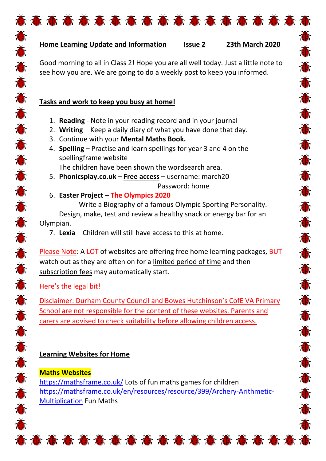

态态态态态

Ö

J.

意

J.

高高

意

意意意

意

意

意意

意

J.

Good morning to all in Class 2! Hope you are all well today. Just a little note to see how you are. We are going to do a weekly post to keep you informed.

高高豪意高高高高高高高高高高高高高高高

## **Tasks and work to keep you busy at home!**

- 1. **Reading** Note in your reading record and in your journal
- 2. **Writing** Keep a daily diary of what you have done that day.
- 3. Continue with your **Mental Maths Book.**
- 4. **Spelling** Practise and learn spellings for year 3 and 4 on the spellingframe website

The children have been shown the wordsearch area.

5. **Phonicsplay.co.uk** – **Free access** – username: march20 Password: home

#### 6. **Easter Project** – **The Olympics 2020**

Write a Biography of a famous Olympic Sporting Personality. Design, make, test and review a healthy snack or energy bar for an Olympian.

7. **Lexia** – Children will still have access to this at home.

Please Note: A LOT of websites are offering free home learning packages, BUT watch out as they are often on for a limited period of time and then subscription fees may automatically start.

Here's the legal bit!

的存在者存在存在者存在存在存在存在存在存在存在

Disclaimer: Durham County Council and Bowes Hutchinson's CofE VA Primary School are not responsible for the content of these websites. Parents and carers are advised to check suitability before allowing children access.

# **Learning Websites for Home**

**Maths Websites**

<https://mathsframe.co.uk/> Lots of fun maths games for children [https://mathsframe.co.uk/en/resources/resource/399/Archery-Arithmetic-](https://mathsframe.co.uk/en/resources/resource/399/Archery-Arithmetic-Multiplication)[Multiplication](https://mathsframe.co.uk/en/resources/resource/399/Archery-Arithmetic-Multiplication) Fun Maths

**态态态态态态态态态态态态态态态态态态态**